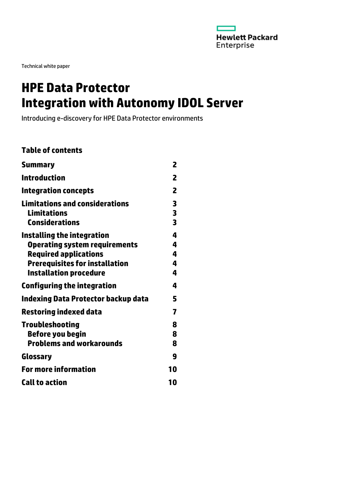

Technical white paper

# **HPE Data Protector Integration with Autonomy IDOL Server**

Introducing e-discovery for HPE Data Protector environments

### **Table of contents**

| <b>Summary</b>                                                                                                                                                               | 2                     |
|------------------------------------------------------------------------------------------------------------------------------------------------------------------------------|-----------------------|
| <b>Introduction</b>                                                                                                                                                          | 2                     |
| <b>Integration concepts</b>                                                                                                                                                  | 2                     |
| <b>Limitations and considerations</b><br><b>Limitations</b><br><b>Considerations</b>                                                                                         | 3<br>3<br>3           |
| Installing the integration<br><b>Operating system requirements</b><br><b>Required applications</b><br><b>Prerequisites for installation</b><br><b>Installation procedure</b> | 4<br>4<br>4<br>4<br>4 |
| <b>Configuring the integration</b>                                                                                                                                           | 4                     |
| <b>Indexing Data Protector backup data</b>                                                                                                                                   | 5                     |
| <b>Restoring indexed data</b>                                                                                                                                                | 7                     |
| <b>Troubleshooting</b><br><b>Before you begin</b><br><b>Problems and workarounds</b>                                                                                         | 8<br>8<br>8           |
| Glossary                                                                                                                                                                     | 9                     |
| <b>For more information</b>                                                                                                                                                  | 10                    |
| <b>Call to action</b>                                                                                                                                                        | 10                    |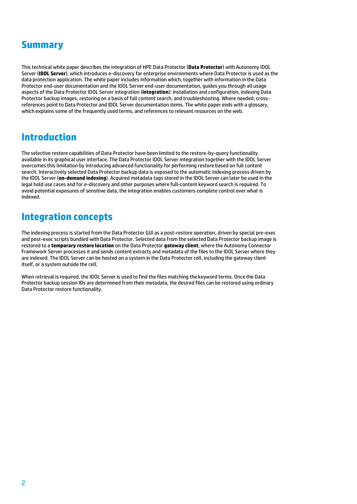### <span id="page-1-0"></span>**Summary**

This technical white paper describes the integration of HPE Data Protector (**Data Protector**) with Autonomy IDOL Server (**IDOL Server**), which introduces e-discovery for enterprise environments where Data Protector is used as the data protection application. The white paper includes information which, together with information in the Data Protector end-user documentation and the IDOL Server end-user documentation, guides you through all usage aspects of the Data Protector IDOL Server integration (**integration**): installation and configuration, indexing Data Protector backup images, restoring on a basis of full content search, and troubleshooting. Where needed, crossreferences point to Data Protector and IDOL Server documentation items. The white paper ends with a glossary, which explains some of the frequently used terms, and references to relevant resources on the web.

### <span id="page-1-1"></span>**Introduction**

The selective restore capabilities of Data Protector have been limited to the restore-by-query functionality available in its graphical user interface. The Data Protector IDOL Server integration together with the IDOL Server overcomes this limitation by introducing advanced functionality for performing restore based on full content search. Interactively selected Data Protector backup data is exposed to the automatic indexing process driven by the IDOL Server (**on-demand indexing**). Acquired metadata tags stored in the IDOL Server can later be used in the legal hold use cases and for e-discovery and other purposes where full-content keyword search is required. To avoid potential exposures of sensitive data, the integration enables customers complete control over what is indexed.

### <span id="page-1-2"></span>**Integration concepts**

The indexing process is started from the Data Protector GUI as a post-restore operation, driven by special pre-exec and post-exec scripts bundled with Data Protector. Selected data from the selected Data Protector backup image is restored to a **temporary restore location** on the Data Protector **gateway client**, where the Autonomy Connector Framework Server processes it and sends content extracts and metadata of the files to the IDOL Server where they are indexed. The IDOL Server can be hosted on a system in the Data Protector cell, including the gateway client itself, or a system outside the cell.

When retrieval is required, the IDOL Server is used to find the files matching the keyword terms. Once the Data Protector backup session IDs are determined from their metadata, the desired files can be restored using ordinary Data Protector restore functionality.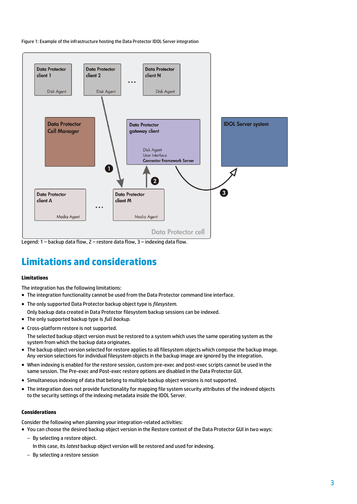Figure 1: Example of the infrastructure hosting the Data Protector IDOL Server integration



Legend: 1 – backup data flow, 2 – restore data flow, 3 – indexing data flow.

# <span id="page-2-0"></span>**Limitations and considerations**

### <span id="page-2-1"></span>**Limitations**

The integration has the following limitations:

- The integration functionality cannot be used from the Data Protector command line interface.
- The only supported Data Protector backup object type is *filesystem*.
- Only backup data created in Data Protector filesystem backup sessions can be indexed.
- The only supported backup type is *full backup*.
- Cross-platform restore is not supported.

The selected backup object version must be restored to a system which uses the same operating system as the system from which the backup data originates.

- The backup object version selected for restore applies to all filesystem objects which compose the backup image. Any version selections for individual filesystem objects in the backup image are ignored by the integration.
- When indexing is enabled for the restore session, custom pre-exec and post-exec scripts cannot be used in the same session. The Pre-exec and Post-exec restore options are disabled in the Data Protector GUI.
- Simultaneous indexing of data that belong to multiple backup object versions is not supported.
- The integration does not provide functionality for mapping file system security attributes of the indexed objects to the security settings of the indexing metadata inside the IDOL Server.

### <span id="page-2-2"></span>**Considerations**

Consider the following when planning your integration-related activities:

You can choose the desired backup object version in the Restore context of the Data Protector GUI in two ways:

- By selecting a restore object.
	- In this case, its *latest* backup object version will be restored and used for indexing.
- By selecting a restore session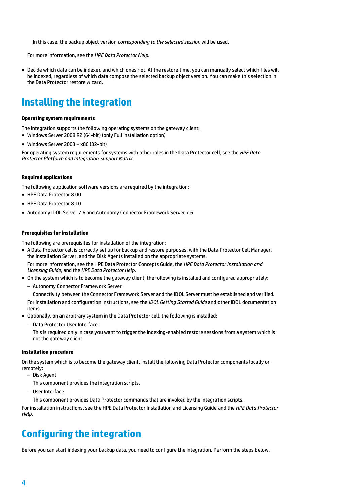In this case, the backup object version *corresponding to the selected session* will be used.

For more information, see the *HPE Data Protector Help*.

 Decide which data can be indexed and which ones not. At the restore time, you can manually select which files will be indexed, regardless of which data compose the selected backup object version. You can make this selection in the Data Protector restore wizard.

### <span id="page-3-0"></span>**Installing the integration**

#### <span id="page-3-1"></span>**Operating system requirements**

The integration supports the following operating systems on the gateway client:

- Windows Server 2008 R2 (64-bit) (only Full installation option)
- Windows Server 2003  $x86$  (32-bit)

For operating system requirements for systems with other roles in the Data Protector cell, see the *HPE Data Protector Platform and Integration Support Matrix*.

#### <span id="page-3-2"></span>**Required applications**

The following application software versions are required by the integration:

- HPE Data Protector 8.00
- HPE Data Protector 8.10
- Autonomy IDOL Server 7.6 and Autonomy Connector Framework Server 7.6

#### <span id="page-3-3"></span>**Prerequisites for installation**

The following are prerequisites for installation of the integration:

 A Data Protector cell is correctly set up for backup and restore purposes, with the Data Protector Cell Manager, the Installation Server, and the Disk Agents installed on the appropriate systems.

For more information, see the HPE Data Protector Concepts Guide, the *HPE Data Protector Installation and Licensing Guide*, and the *HPE Data Protector Help*.

- On the system which is to become the gateway client, the following is installed and configured appropriately:
	- Autonomy Connector Framework Server

Connectivity between the Connector Framework Server and the IDOL Server must be established and verified.

For installation and configuration instructions, see the *IDOL Getting Started Guide* and other IDOL documentation items.

Optionally, on an arbitrary system in the Data Protector cell, the following is installed:

– Data Protector User Interface

This is required only in case you want to trigger the indexing-enabled restore sessions from a system which is not the gateway client.

#### <span id="page-3-4"></span>**Installation procedure**

On the system which is to become the gateway client, install the following Data Protector components locally or remotely:

- Disk Agent
	- This component provides the integration scripts.
- User Interface

This component provides Data Protector commands that are invoked by the integration scripts.

For installation instructions, see the HPE Data Protector Installation and Licensing Guide and the *HPE Data Protector Help*.

### <span id="page-3-5"></span>**Configuring the integration**

Before you can start indexing your backup data, you need to configure the integration. Perform the steps below.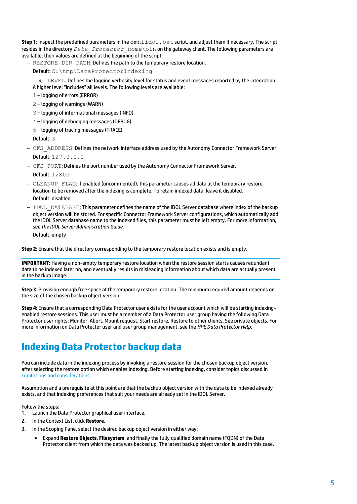**Step 1**: Inspect the predefined parameters in the  ${\rm omoidol}.$  bat script, and adjust them if necessary. The script resides in the directory *Data\_Protector\_home*\bin on the gateway client. The following parameters are available: their values are defined at the beginning of the script:

- RESTORE\_DIR\_PATH: Defines the path to the temporary restore location. Default: C:\tmp\DataProtectorIndexing
- LOG\_LEVEL: Defines the logging verbosity level for status and event messages reported by the integration. A higher level "includes" all levels. The following levels are available:
	- 1 logging of errors (ERROR)
	- 2 logging of warnings (WARN)
	- 3 logging of informational messages (INFO)
	- 4 logging of debugging messages (DEBUG)
	- 5 logging of tracing messages (TRACE)

Default: 3

- CFS\_ADDRESS: Defines the network interface address used by the Autonomy Connector Framework Server. Default: 127.0.0.1
- CFS\_PORT: Defines the port number used by the Autonomy Connector Framework Server.
	- Default: 12800
- CLEANUP\_FLAG: If enabled (uncommented), this parameter causes all data at the temporary restore location to be removed after the indexing is complete. To retain indexed data, leave it disabled. Default: disabled
- IDOL\_DATABASE: This parameter defines the name of the IDOL Server database where index of the backup object version will be stored. For specific Connector Framework Server configurations, which automatically add the IDOL Server database name to the indexed files, this parameter must be left empty. For more information, see *the IDOL Server Administration Guide*.

Default: empty

**Step 2**: Ensure that the directory corresponding to the temporary restore location exists and is empty.

**IMPORTANT:** Having a non-empty temporary restore location when the restore session starts causes redundant data to be indexed later on, and eventually results in misleading information about which data are actually present in the backup image.

**Step 3**: Provision enough free space at the temporary restore location. The minimum required amount depends on the size of the chosen backup object version.

**Step 4**: Ensure that a corresponding Data Protector user exists for the user account which will be starting indexingenabled restore sessions. This user must be a member of a Data Protector user group having the following Data Protector user rights: Monitor, Abort, Mount request, Start restore, Restore to other clients, See private objects. For more information on Data Protector user and user group management, see the *HPE Data Protector Help*.

# <span id="page-4-0"></span>**Indexing Data Protector backup data**

You can include data in the indexing process by invoking a restore session for the chosen backup object version, after selecting the restore option which enables indexing. Before starting indexing, consider topics discussed in [Limitations and considerations.](#page-2-0)

Assumption and a prerequisite at this point are that the backup object version with the data to be indexed already exists, and that indexing preferences that suit your needs are already set in the IDOL Server.

Follow the steps:

- 1. Launch the Data Protector graphical user interface.
- 2. In the Context List, click **Restore**.
- 3. In the Scoping Pane, select the desired backup object version in either way:
	- Expand **Restore Objects**, **Filesystem**, and finally the fully qualified domain name (FQDN) of the Data Protector client from which the data was backed up. The latest backup object version is used in this case.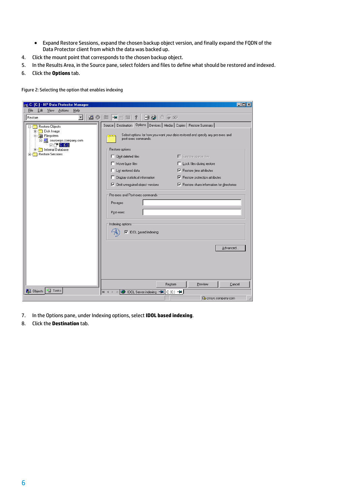- Expand Restore Sessions, expand the chosen backup object version, and finally expand the FQDN of the Data Protector client from which the data was backed up.
- 4. Click the mount point that corresponds to the chosen backup object.
- 5. In the Results Area, in the Source pane, select folders and files to define what should be restored and indexed.
- 6. Click the **Options** tab.

Figure 2: Selecting the option that enables indexing

| C: [C:] - HP Data Protector Manager                                                                                                                                                                                         |                                                                                                                                                                                                                                                                                                                                                                                                     | $\Box$ $\times$                                                                                                                                                                                                                                                                             |
|-----------------------------------------------------------------------------------------------------------------------------------------------------------------------------------------------------------------------------|-----------------------------------------------------------------------------------------------------------------------------------------------------------------------------------------------------------------------------------------------------------------------------------------------------------------------------------------------------------------------------------------------------|---------------------------------------------------------------------------------------------------------------------------------------------------------------------------------------------------------------------------------------------------------------------------------------------|
| Edit<br>View<br>Actions<br>Help<br>Eile                                                                                                                                                                                     |                                                                                                                                                                                                                                                                                                                                                                                                     |                                                                                                                                                                                                                                                                                             |
| 盟の<br>$\boxed{ \Box \parallel \neg \blacksquare \parallel \blacksquare \parallel \blacksquare } \parallel ?$<br>电部心巨阵<br>Restore<br>$\blacktriangledown$                                                                    |                                                                                                                                                                                                                                                                                                                                                                                                     |                                                                                                                                                                                                                                                                                             |
| <b>E-Restore Objects</b><br>由 Disk Image<br>白 <b>a</b> Filesystem<br>白 图 sourcesys.company.com<br>$\nabla$ $\nabla$ $\mathbf{C}$ $\mathbf{C}$ $\mathbf{C}$ $\mathbf{C}$<br>Internal Database<br>田<br>Restore Sessions<br>田園 | Source   Destination   Options   Devices   Media   Copies   Restore Summary  <br>post-exec commands.<br>Restore options:<br>$\Box$ Omit deleted files<br>Move busy files<br>□ List restored data<br>□ Display statistical information<br>$\nabla$ Omit unreguired object versions<br>Pre-exec and Post-exec commands:<br>Pre-exec<br>Post-exec<br>Indexing options:<br><b>▽</b> IDOL based indexing | Select options for how you want your data restored and specify any pre-exec and<br>$\Box$ Restore sparse files<br>Lock files during restore<br>$\nabla$ Restore time attributes<br>$\nabla$ Restore protection attributes<br>$\nabla$ Restore share information for directories<br>Advanced |
|                                                                                                                                                                                                                             | Restore                                                                                                                                                                                                                                                                                                                                                                                             | Preview<br>Cancel                                                                                                                                                                                                                                                                           |
| <mark>想</mark> Objects → Tasks                                                                                                                                                                                              | DOL Server indexing =<br>$C: [C: ] \rightarrow H$<br>$M \leq 1$                                                                                                                                                                                                                                                                                                                                     |                                                                                                                                                                                                                                                                                             |
|                                                                                                                                                                                                                             |                                                                                                                                                                                                                                                                                                                                                                                                     | Comsys.company.com                                                                                                                                                                                                                                                                          |

- 7. In the Options pane, under Indexing options, select **IDOL based indexing**.
- 8. Click the **Destination** tab.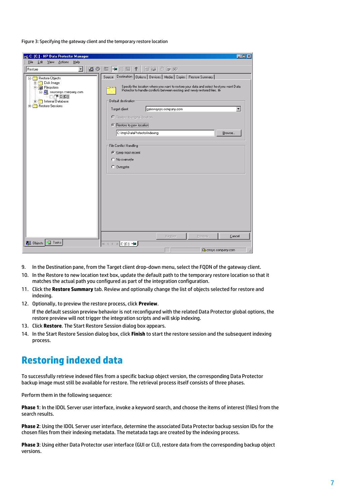Figure 3: Specifying the gateway client and the temporary restore location

| Eile<br>Edit View<br>Actions<br>Help<br>盟の画<br>1991 4 元 30<br>$  \mathbf{H}  $ $  \mathbf{H}  $ $  \mathbf{H}  $<br>Restore<br>$\blacktriangledown$<br>Destination   Options   Devices   Media   Copies   Restore Summary  <br>Source<br>□ Restore Objects<br>E-Real Disk Image<br>Specify the location where you want to restore your data and select hoctyou want Data<br>白 all Filesystem<br>Protector to handle conflicts between existing and newly restored files. fil-<br>白 B sourcesys.company.com<br>□⊡r™c[c]<br>Default destination:<br><b>E-Real</b> Internal Database<br><b>E</b> Restore Sessions<br>$\overline{\phantom{a}}$<br>Target client<br>gatewaysys.company.com<br>C Restore to original location<br>Restore to new location<br>C:\tmp\DataProtectorIndexing<br>Browse<br>File Conflict Handling<br>C Keep most recent<br>C No overwrite<br>C Overwrite<br>Cancel<br>Restore<br>Preview<br><mark>想</mark> Objects → Tasks<br>$\begin{array}{ccccccccc} \mathbb{N} & \mathbb{I} & \mathbb{I} & \mathbb{I} & \mathbb{I} & \mathbb{I} & \mathbb{I} & \mathbb{I} & \mathbb{I} & \mathbb{I} & \mathbb{I} & \mathbb{I} & \mathbb{I} & \mathbb{I} & \mathbb{I} & \mathbb{I} & \mathbb{I} & \mathbb{I} & \mathbb{I} & \mathbb{I} & \mathbb{I} & \mathbb{I} & \mathbb{I} & \mathbb{I} & \mathbb{I} & \mathbb{I} & \mathbb{I} & \mathbb{I} & \mathbb{I} & \mathbb{I} & \$ | <b>pd</b> C: [C:] - HP Data Protector Manager | $ \Box$ $\times$ |
|---------------------------------------------------------------------------------------------------------------------------------------------------------------------------------------------------------------------------------------------------------------------------------------------------------------------------------------------------------------------------------------------------------------------------------------------------------------------------------------------------------------------------------------------------------------------------------------------------------------------------------------------------------------------------------------------------------------------------------------------------------------------------------------------------------------------------------------------------------------------------------------------------------------------------------------------------------------------------------------------------------------------------------------------------------------------------------------------------------------------------------------------------------------------------------------------------------------------------------------------------------------------------------------------------------------------------------------------------------------------------------------|-----------------------------------------------|------------------|
|                                                                                                                                                                                                                                                                                                                                                                                                                                                                                                                                                                                                                                                                                                                                                                                                                                                                                                                                                                                                                                                                                                                                                                                                                                                                                                                                                                                       |                                               |                  |
|                                                                                                                                                                                                                                                                                                                                                                                                                                                                                                                                                                                                                                                                                                                                                                                                                                                                                                                                                                                                                                                                                                                                                                                                                                                                                                                                                                                       |                                               |                  |
|                                                                                                                                                                                                                                                                                                                                                                                                                                                                                                                                                                                                                                                                                                                                                                                                                                                                                                                                                                                                                                                                                                                                                                                                                                                                                                                                                                                       |                                               |                  |
| Comsys.company.com                                                                                                                                                                                                                                                                                                                                                                                                                                                                                                                                                                                                                                                                                                                                                                                                                                                                                                                                                                                                                                                                                                                                                                                                                                                                                                                                                                    |                                               |                  |

- 9. In the Destination pane, from the Target client drop-down menu, select the FQDN of the gateway client.
- 10. In the Restore to new location text box, update the default path to the temporary restore location so that it matches the actual path you configured as part of the integration configuration.
- 11. Click the **Restore Summary** tab. Review and optionally change the list of objects selected for restore and indexing.
- 12. Optionally, to preview the restore process, click **Preview**. If the default session preview behavior is not reconfigured with the related Data Protector global options, the restore preview will not trigger the integration scripts and will skip indexing.
- 13. Click **Restore**. The Start Restore Session dialog box appears.
- 14. In the Start Restore Session dialog box, click **Finish** to start the restore session and the subsequent indexing process.

### <span id="page-6-0"></span>**Restoring indexed data**

To successfully retrieve indexed files from a specific backup object version, the corresponding Data Protector backup image must still be available for restore. The retrieval process itself consists of three phases.

Perform them in the following sequence:

**Phase 1**: In the IDOL Server user interface, invoke a keyword search, and choose the items of interest (files) from the search results.

**Phase 2**: Using the IDOL Server user interface, determine the associated Data Protector backup session IDs for the chosen files from their indexing metadata. The metatada tags are created by the indexing process.

**Phase 3**: Using either Data Protector user interface (GUI or CLI), restore data from the corresponding backup object versions.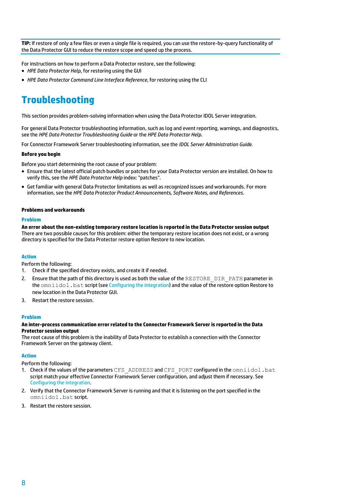**TIP:** If restore of only a few files or even a single file is required, you can use the restore-by-query functionality of the Data Protector GUI to reduce the restore scope and speed up the process.

For instructions on how to perform a Data Protector restore, see the following:

- *HPE Data Protector Help*, for restoring using the GUI
- *HPE Data Protector Command Line Interface Reference*, for restoring using the CLI

# <span id="page-7-0"></span>**Troubleshooting**

This section provides problem-solving information when using the Data Protector IDOL Server integration.

For general Data Protector troubleshooting information, such as log and event reporting, warnings, and diagnostics, see the *HPE Data Protector Troubleshooting Guide* or the *HPE Data Protector Help.*

For Connector Framework Server troubleshooting information, see the *IDOL Server Administration Guide.*

### <span id="page-7-1"></span>**Before you begin**

Before you start determining the root cause of your problem:

- Ensure that the latest official patch bundles or patches for your Data Protector version are installed. On how to verify this, see the *HPE Data Protector Help* index: "patches".
- Get familiar with general Data Protector limitations as well as recognized issues and workarounds. For more information, see the *HPE Data Protector Product Announcements, Software Notes, and References*.

### <span id="page-7-2"></span>**Problems and workarounds**

#### **Problem**

**An error about the non-existing temporary restore location is reported in the Data Protector session output** There are two possible causes for this problem: either the temporary restore location does not exist, or a wrong directory is specified for the Data Protector restore option Restore to new location.

### **Action**

Perform the following:

- 1. Check if the specified directory exists, and create it if needed.
- 2. Ensure that the path of this directory is used as both the value of the RESTORE DIR PATH parameter in the omniidol.bat script (se[e Configuring the integration\)](#page-3-5) and the value of the restore option Restore to new location in the Data Protector GUI.
- 3. Restart the restore session.

### **Problem**

### **An inter-process communication error related to the Connector Framework Server is reported in the Data Protector session output**

The root cause of this problem is the inability of Data Protector to establish a connection with the Connector Framework Server on the gateway client.

### **Action**

Perform the following:

- 1. Check if the values of the parameters CFS\_ADDRESS and CFS\_PORT configured in the  $ominicol.bat$ script match your effective Connector Framework Server configuration, and adjust them if necessary. See [Configuring the integration.](#page-3-5)
- 2. Verify that the Connector Framework Server is running and that it is listening on the port specified in the omniidol.bat script.
- 3. Restart the restore session.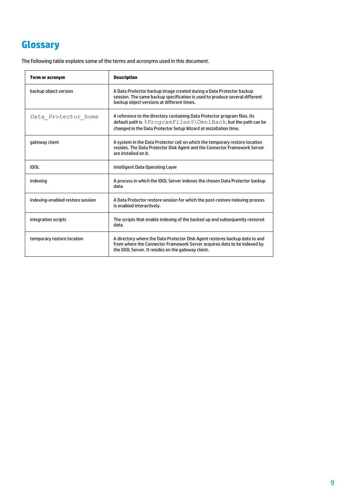# <span id="page-8-0"></span>**Glossary**

The following table explains some of the terms and acronyms used in this document.

| Term or acronym                  | <b>Description</b>                                                                                                                                                                                                                  |
|----------------------------------|-------------------------------------------------------------------------------------------------------------------------------------------------------------------------------------------------------------------------------------|
| backup object version            | A Data Protector backup image created during a Data Protector backup<br>session. The same backup specification is used to produce several different<br>backup object versions at different times.                                   |
| Data Protector home              | A reference to the directory containing Data Protector program files. Its<br>default path is $%ProgramFiles$ $\Diamond$ $\Diamond$ mniBack, but the path can be<br>changed in the Data Protector Setup Wizard at installation time. |
| gateway client                   | A system in the Data Protector cell on which the temporary restore location<br>resides. The Data Protector Disk Agent and the Connector Framework Server<br>are installed on it.                                                    |
| <b>IDOL</b>                      | Intelligent Data Operating Layer                                                                                                                                                                                                    |
| indexing                         | A process in which the IDOL Server indexes the chosen Data Protector backup<br>data.                                                                                                                                                |
| indexing-enabled restore session | A Data Protector restore session for which the post-restore indexing process<br>is enabled interactively.                                                                                                                           |
| integration scripts              | The scripts that enable indexing of the backed up and subsequently restored<br>data.                                                                                                                                                |
| temporary restore location       | A directory where the Data Protector Disk Agent restores backup data to and<br>from where the Connector Framework Server acquires data to be indexed by<br>the IDOL Server. It resides on the gateway client.                       |